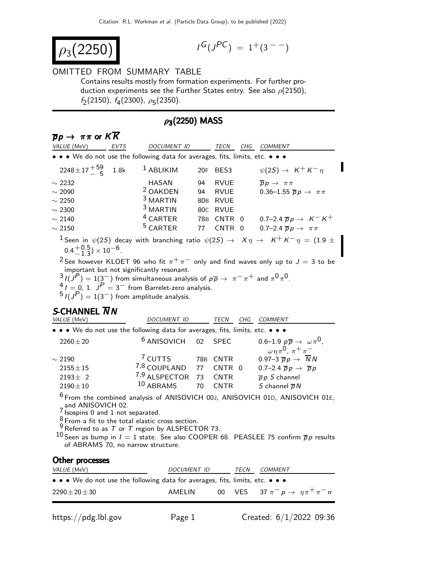$$
\rho_3(2250)
$$

$$
I^G(J^{PC}) = 1^+(3^{--})
$$

## OMITTED FROM SUMMARY TABLE

Contains results mostly from formation experiments. For further production experiments see the Further States entry. See also  $\rho(2150)$ ,  $f_2(2150)$ ,  $f_4(2300)$ ,  $\rho_5(2350)$ .

## $\rho_3(2250)$  MASS

| $\overline{p}p \rightarrow \pi\pi$ or $KK$                                                                                                                                                                                                                                                                                                                                                                                                                                                                                                                  |                                                                                                                               |                 |             |   |                                                                                                                                                                                                                                |  |  |
|-------------------------------------------------------------------------------------------------------------------------------------------------------------------------------------------------------------------------------------------------------------------------------------------------------------------------------------------------------------------------------------------------------------------------------------------------------------------------------------------------------------------------------------------------------------|-------------------------------------------------------------------------------------------------------------------------------|-----------------|-------------|---|--------------------------------------------------------------------------------------------------------------------------------------------------------------------------------------------------------------------------------|--|--|
| VALUE (MeV)<br>EVTS                                                                                                                                                                                                                                                                                                                                                                                                                                                                                                                                         | DOCUMENT ID                                                                                                                   |                 |             |   | TECN CHG COMMENT                                                                                                                                                                                                               |  |  |
| • • • We do not use the following data for averages, fits, limits, etc. • • •                                                                                                                                                                                                                                                                                                                                                                                                                                                                               |                                                                                                                               |                 |             |   |                                                                                                                                                                                                                                |  |  |
| $2248 \pm 17 \frac{+59}{5}$<br>1.8k                                                                                                                                                                                                                                                                                                                                                                                                                                                                                                                         | $1$ ABLIKIM                                                                                                                   | 20F             | BES3        |   | $\psi(2S) \rightarrow K^+ K^- \eta$                                                                                                                                                                                            |  |  |
| $\sim$ 2232                                                                                                                                                                                                                                                                                                                                                                                                                                                                                                                                                 | <b>HASAN</b>                                                                                                                  | 94              | <b>RVUE</b> |   | $\overline{p}p \rightarrow \pi \pi$                                                                                                                                                                                            |  |  |
| $\sim$ 2090                                                                                                                                                                                                                                                                                                                                                                                                                                                                                                                                                 | <sup>2</sup> OAKDEN                                                                                                           | 94              | <b>RVUE</b> |   | 0.36–1.55 $\overline{p}p \rightarrow \pi \pi$                                                                                                                                                                                  |  |  |
| $\sim$ 2250                                                                                                                                                                                                                                                                                                                                                                                                                                                                                                                                                 | <sup>3</sup> MARTIN                                                                                                           | 80 <sub>B</sub> | <b>RVUE</b> |   |                                                                                                                                                                                                                                |  |  |
| $\sim$ 2300                                                                                                                                                                                                                                                                                                                                                                                                                                                                                                                                                 | <sup>3</sup> MARTIN                                                                                                           | 80C             | <b>RVUE</b> |   |                                                                                                                                                                                                                                |  |  |
| $\sim$ 2140                                                                                                                                                                                                                                                                                                                                                                                                                                                                                                                                                 | <sup>4</sup> CARTER                                                                                                           | 78B             | CNTR 0      |   | 0.7–2.4 $\overline{p}p \to K^- K^+$                                                                                                                                                                                            |  |  |
| $\sim 2150$                                                                                                                                                                                                                                                                                                                                                                                                                                                                                                                                                 | <sup>5</sup> CARTER                                                                                                           | 77              | CNTR        | 0 | 0.7-2.4 $\overline{p}p \rightarrow \pi \pi$                                                                                                                                                                                    |  |  |
| <sup>1</sup> Seen in $\psi(2S)$ decay with branching ratio $\psi(2S) \rightarrow X\eta \rightarrow K^+K^-\eta = (1.9 \pm 1.0)$<br>$0.4 + {0.5 \choose -1.3} \times 10^{-6}$ .<br><sup>2</sup> See however KLOET 96 who fit $\pi^{+}\pi^{-}$ only and find waves only up to $J = 3$ to be<br>important but not significantly resonant.<br>$3I(J^P) = 1(3^-)$ from simultaneous analysis of $p\overline{p} \rightarrow \pi^- \pi^+$ and $\pi^0 \pi^0$ .<br>$4I = 0$ , 1. $JP = 3$ from Barrelet-zero analysis.<br>$5I(J^P) = 1(3^-)$ from amplitude analysis. |                                                                                                                               |                 |             |   |                                                                                                                                                                                                                                |  |  |
| S-CHANNEL $\overline{N}N$<br>VALUE (MeV)                                                                                                                                                                                                                                                                                                                                                                                                                                                                                                                    | DOCUMENT ID                                                                                                                   |                 |             |   | TECN CHG COMMENT                                                                                                                                                                                                               |  |  |
| $\bullet \bullet \bullet$ We do not use the following data for averages, fits, limits, etc. $\bullet \bullet \bullet$                                                                                                                                                                                                                                                                                                                                                                                                                                       |                                                                                                                               |                 |             |   |                                                                                                                                                                                                                                |  |  |
| $2260 \pm 20$                                                                                                                                                                                                                                                                                                                                                                                                                                                                                                                                               | <sup>6</sup> ANISOVICH                                                                                                        | 02              | <b>SPEC</b> |   | 0.6–1.9 $p\overline{p} \rightarrow \omega \pi^0$ ,                                                                                                                                                                             |  |  |
|                                                                                                                                                                                                                                                                                                                                                                                                                                                                                                                                                             |                                                                                                                               |                 |             |   |                                                                                                                                                                                                                                |  |  |
|                                                                                                                                                                                                                                                                                                                                                                                                                                                                                                                                                             |                                                                                                                               |                 |             |   | $\omega \eta \pi^0$ , $\pi^+ \pi^-$                                                                                                                                                                                            |  |  |
| $\sim$ 2190                                                                                                                                                                                                                                                                                                                                                                                                                                                                                                                                                 | <sup>7</sup> CUTTS<br>78B                                                                                                     |                 | <b>CNTR</b> |   | 0.97-3 $\overline{p}p \rightarrow \overline{N}N$                                                                                                                                                                               |  |  |
| $2155 \pm 15$                                                                                                                                                                                                                                                                                                                                                                                                                                                                                                                                               | <sup>7,8</sup> COUPLAND                                                                                                       | 77              | CNTR 0      |   | 0.7-2.4 $\overline{p}p \rightarrow \overline{p}p$                                                                                                                                                                              |  |  |
| $2193 \pm 2$                                                                                                                                                                                                                                                                                                                                                                                                                                                                                                                                                | 7,9 ALSPECTOR                                                                                                                 | 73              | <b>CNTR</b> |   | $\overline{p}p S$ channel                                                                                                                                                                                                      |  |  |
| $2190 + 10$<br>and ANISOVICH 02.<br>$\frac{7}{1}$ Isospins 0 and 1 not separated.<br>of ABRAMS 70, no narrow structure.                                                                                                                                                                                                                                                                                                                                                                                                                                     | 10 ABRAMS<br><sup>8</sup> From a fit to the total elastic cross section.<br>$9$ Referred to as T or T region by ALSPECTOR 73. | 70              | <b>CNTR</b> |   | S channel $\overline{p}N$<br><sup>6</sup> From the combined analysis of ANISOVICH 00J, ANISOVICH 01D, ANISOVICH 01E,<br>$^{10}$ Seen as bump in $l=1$ state. See also COOPER 68. PEASLEE 75 confirm $\overline{\rho}$ presults |  |  |
| Other processes                                                                                                                                                                                                                                                                                                                                                                                                                                                                                                                                             |                                                                                                                               |                 |             |   |                                                                                                                                                                                                                                |  |  |

| $\bullet \bullet \bullet$ We do not use the following data for averages, fits, limits, etc. $\bullet \bullet \bullet$ |        |  |                                           |  |
|-----------------------------------------------------------------------------------------------------------------------|--------|--|-------------------------------------------|--|
| $2290\pm20\pm30$                                                                                                      | AMELIN |  | 00 VES 37 $\pi^ p \to \eta \pi^+ \pi^-$ n |  |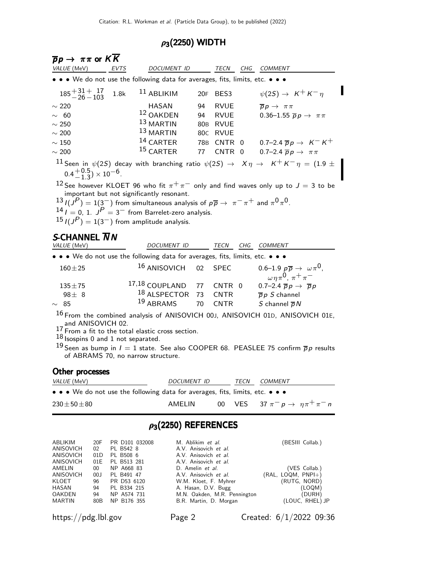## $\rho_3(2250)$  WIDTH

| $\overline{p}p \rightarrow \pi\pi$ or $KK$<br>VALUE (MeV)                                                             |                                            | <b>EVTS</b>                                                                                        |                                           | DOCUMENT ID               |                                                                                                                                           |                                                                               |             | TECN CHG COMMENT                                                                                                                                                                                                             |
|-----------------------------------------------------------------------------------------------------------------------|--------------------------------------------|----------------------------------------------------------------------------------------------------|-------------------------------------------|---------------------------|-------------------------------------------------------------------------------------------------------------------------------------------|-------------------------------------------------------------------------------|-------------|------------------------------------------------------------------------------------------------------------------------------------------------------------------------------------------------------------------------------|
| • • • We do not use the following data for averages, fits, limits, etc. • • •                                         |                                            |                                                                                                    |                                           |                           |                                                                                                                                           |                                                                               |             |                                                                                                                                                                                                                              |
|                                                                                                                       |                                            |                                                                                                    |                                           |                           |                                                                                                                                           |                                                                               |             |                                                                                                                                                                                                                              |
| $185 + 31 + 17$<br>-26 - 103                                                                                          |                                            | 1.8k                                                                                               | $11$ ABLIKIM                              |                           |                                                                                                                                           | 20F BES3                                                                      |             | $\psi(2S) \rightarrow K^+ K^- \eta$                                                                                                                                                                                          |
| $\sim$ 220                                                                                                            |                                            |                                                                                                    | HASAN                                     |                           | 94                                                                                                                                        | <b>RVUE</b>                                                                   |             | $\overline{p}p \rightarrow \pi \pi$                                                                                                                                                                                          |
| $\sim$ 60                                                                                                             |                                            |                                                                                                    | <sup>12</sup> OAKDEN                      |                           | 94                                                                                                                                        | <b>RVUE</b>                                                                   |             | 0.36–1.55 $\overline{p}p \rightarrow \pi \pi$                                                                                                                                                                                |
| $\sim 250$                                                                                                            |                                            |                                                                                                    | 13 MARTIN                                 |                           |                                                                                                                                           | 80B RVUE                                                                      |             |                                                                                                                                                                                                                              |
| $\sim 200$                                                                                                            |                                            |                                                                                                    | $13$ MARTIN                               |                           |                                                                                                                                           | 80C RVUE                                                                      |             |                                                                                                                                                                                                                              |
| $\sim150$                                                                                                             |                                            |                                                                                                    | $^{14}$ CARTER<br>15 CARTER               |                           |                                                                                                                                           |                                                                               |             | 78B CNTR 0 0.7-2.4 $\overline{p}p \rightarrow K^-K^+$                                                                                                                                                                        |
| $\sim 200$                                                                                                            |                                            |                                                                                                    |                                           |                           | 77                                                                                                                                        | <b>CNTR</b>                                                                   | 0           | 0.7-2.4 $\overline{p}p \rightarrow \pi \pi$                                                                                                                                                                                  |
| $0.4 + {0.5 \choose -1.3} \times 10^{-6}$ .                                                                           |                                            |                                                                                                    |                                           |                           |                                                                                                                                           |                                                                               |             | $^{11}$ Seen in $\psi(2S)$ decay with branching ratio $\psi(2S) \rightarrow X \eta \rightarrow K^{+} K^{-} \eta = (1.9 \pm 1.0)$                                                                                             |
| $14$ $I = 0$ , 1. $JP = 3$ from Barrelet-zero analysis.<br>$15$ $I(J^P) = 1(3^-)$ from amplitude analysis.            |                                            |                                                                                                    | important but not significantly resonant. |                           |                                                                                                                                           |                                                                               |             | <sup>12</sup> See however KLOET 96 who fit $\pi^{+}\pi^{-}$ only and find waves only up to $J = 3$ to be<br>$13$ $I(J^P) = 1(3^-)$ from simultaneous analysis of $p\overline{p} \rightarrow \pi^- \pi^+$ and $\pi^0 \pi^0$ . |
| <b>S-CHANNEL NN</b><br>VALUE (MeV)                                                                                    |                                            |                                                                                                    |                                           | DOCUMENT ID               |                                                                                                                                           |                                                                               |             | TECN CHG COMMENT                                                                                                                                                                                                             |
| • • • We do not use the following data for averages, fits, limits, etc. • • •                                         |                                            |                                                                                                    |                                           |                           |                                                                                                                                           |                                                                               |             |                                                                                                                                                                                                                              |
| $160 + 25$                                                                                                            |                                            |                                                                                                    |                                           | <sup>16</sup> ANISOVICH   | 02                                                                                                                                        | <b>SPEC</b>                                                                   |             | 0.6–1.9 $p\overline{p} \rightarrow \omega \pi^0$ ,<br>$\omega \eta \pi^0$ , $\pi^+ \pi^-$                                                                                                                                    |
| $135 + 75$                                                                                                            |                                            |                                                                                                    | 17,18 COUPLAND 77                         |                           |                                                                                                                                           | CNTR 0                                                                        |             | $0.7-2.4 \overline{p}p \rightarrow \overline{p}p$                                                                                                                                                                            |
| $98 \pm 8$                                                                                                            |                                            |                                                                                                    |                                           | <sup>18</sup> ALSPECTOR   | 73                                                                                                                                        | <b>CNTR</b>                                                                   |             | $\overline{p}p S$ channel                                                                                                                                                                                                    |
| $\sim 85$                                                                                                             |                                            |                                                                                                    | 19 ABRAMS                                 |                           | 70                                                                                                                                        | <b>CNTR</b>                                                                   |             | S channel $\overline{p}N$                                                                                                                                                                                                    |
| and ANISOVICH 02.<br>17 From a fit to the total elastic cross section.<br>$18$ Isospins 0 and 1 not separated.        |                                            |                                                                                                    | of ABRAMS 70, no narrow structure.        |                           |                                                                                                                                           |                                                                               |             | 16 From the combined analysis of ANISOVICH 00J, ANISOVICH 01D, ANISOVICH 01E,<br><sup>19</sup> Seen as bump in $l = 1$ state. See also COOPER 68. PEASLEE 75 confirm $\overline{p}p$ results                                 |
| Other processes                                                                                                       |                                            |                                                                                                    |                                           |                           |                                                                                                                                           |                                                                               |             |                                                                                                                                                                                                                              |
| VALUE (MeV                                                                                                            |                                            |                                                                                                    |                                           | DOCUMENT ID               |                                                                                                                                           |                                                                               | <b>TECN</b> | <u>COMMENT</u>                                                                                                                                                                                                               |
| $\bullet \bullet \bullet$ We do not use the following data for averages, fits, limits, etc. $\bullet \bullet \bullet$ |                                            |                                                                                                    |                                           |                           |                                                                                                                                           |                                                                               |             |                                                                                                                                                                                                                              |
| $230 \pm 50 \pm 80$                                                                                                   |                                            |                                                                                                    |                                           | AMELIN                    |                                                                                                                                           | 00                                                                            | <b>VES</b>  | 37 $\pi^- p \to \eta \pi^+ \pi^- n$                                                                                                                                                                                          |
|                                                                                                                       |                                            |                                                                                                    |                                           | $\rho_3(2250)$ REFERENCES |                                                                                                                                           |                                                                               |             |                                                                                                                                                                                                                              |
| ABLIKIM<br>ANISOVICH<br>ANISOVICH<br>ANISOVICH<br>AMELIN<br>ANISOVICH<br>KLOET                                        | 20F<br>02<br>01D<br>01E<br>00<br>00J<br>96 | PR D101 032008<br>PL B542 8<br>PL B508 6<br>PL B513 281<br>NP A668 83<br>PL B491 47<br>PR D53 6120 |                                           |                           | M. Ablikim et al.<br>A.V. Anisovich et al.<br>A.V. Anisovich et al.<br>A.V. Anisovich et al.<br>D. Amelin et al.<br>A.V. Anisovich et al. | W.M. Kloet, F. Myhrer                                                         |             | (BESIII Collab.)<br>(VES Collab.)<br>$(RAL, LOGM, PNPI+)$<br>(RUTG, NORD)                                                                                                                                                    |
| HASAN<br>OAKDEN<br>MARTIN                                                                                             | 94<br>94<br>80B                            | PL B334 215<br>NP A574 731<br>NP B176 355                                                          |                                           |                           |                                                                                                                                           | A. Hasan, D.V. Bugg<br>M.N. Oakden, M.R. Pennington<br>B.R. Martin, D. Morgan |             | (LOQM)<br>(DURH)<br>(LOUC, RHEL) JP                                                                                                                                                                                          |
| $\frac{h}{\text{https://pdg.lbl.gov}}$                                                                                |                                            |                                                                                                    |                                           | Page 2                    |                                                                                                                                           |                                                                               |             | Created: $6/1/2022$ 09:36                                                                                                                                                                                                    |